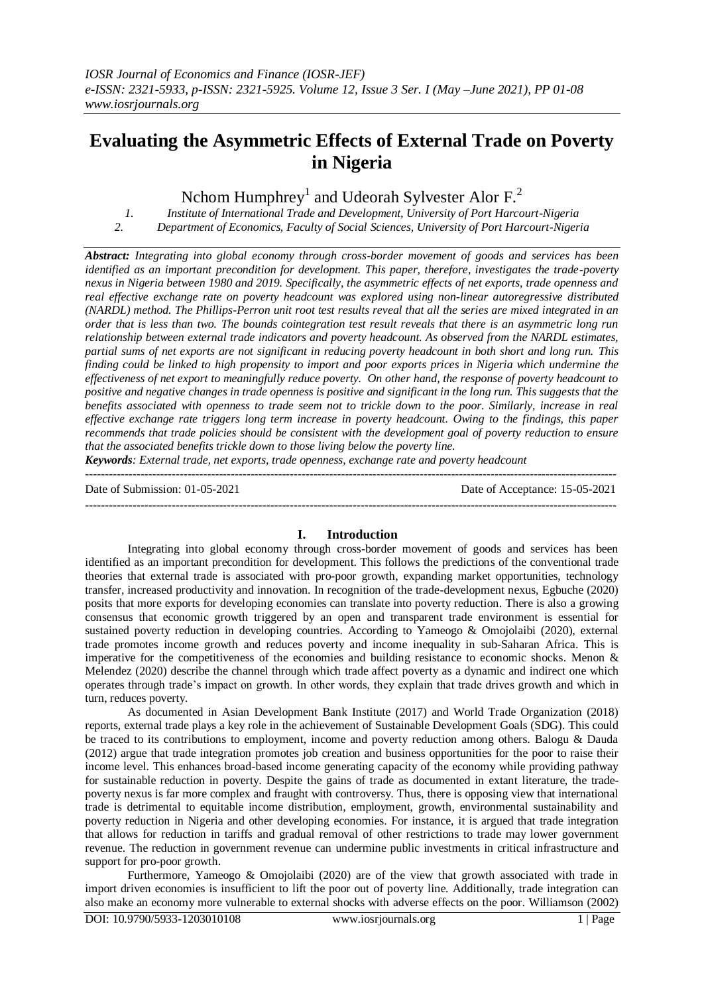# **Evaluating the Asymmetric Effects of External Trade on Poverty in Nigeria**

Nchom Humphrey<sup>1</sup> and Udeorah Sylvester Alor F.<sup>2</sup>

*1. Institute of International Trade and Development, University of Port Harcourt-Nigeria 2. Department of Economics, Faculty of Social Sciences, University of Port Harcourt-Nigeria*

*Abstract: Integrating into global economy through cross-border movement of goods and services has been identified as an important precondition for development. This paper, therefore, investigates the trade-poverty nexus in Nigeria between 1980 and 2019. Specifically, the asymmetric effects of net exports, trade openness and real effective exchange rate on poverty headcount was explored using non-linear autoregressive distributed (NARDL) method. The Phillips-Perron unit root test results reveal that all the series are mixed integrated in an order that is less than two. The bounds cointegration test result reveals that there is an asymmetric long run relationship between external trade indicators and poverty headcount. As observed from the NARDL estimates, partial sums of net exports are not significant in reducing poverty headcount in both short and long run. This finding could be linked to high propensity to import and poor exports prices in Nigeria which undermine the effectiveness of net export to meaningfully reduce poverty. On other hand, the response of poverty headcount to positive and negative changes in trade openness is positive and significant in the long run. This suggests that the benefits associated with openness to trade seem not to trickle down to the poor. Similarly, increase in real effective exchange rate triggers long term increase in poverty headcount. Owing to the findings, this paper recommends that trade policies should be consistent with the development goal of poverty reduction to ensure that the associated benefits trickle down to those living below the poverty line.*

*Keywords: External trade, net exports, trade openness, exchange rate and poverty headcount*  ---------------------------------------------------------------------------------------------------------------------------------------

Date of Submission: 01-05-2021 Date of Acceptance: 15-05-2021

#### ---------------------------------------------------------------------------------------------------------------------------------------

## **I. Introduction**

Integrating into global economy through cross-border movement of goods and services has been identified as an important precondition for development. This follows the predictions of the conventional trade theories that external trade is associated with pro-poor growth, expanding market opportunities, technology transfer, increased productivity and innovation. In recognition of the trade-development nexus, Egbuche (2020) posits that more exports for developing economies can translate into poverty reduction. There is also a growing consensus that economic growth triggered by an open and transparent trade environment is essential for sustained poverty reduction in developing countries. According to Yameogo & Omojolaibi (2020), external trade promotes income growth and reduces poverty and income inequality in sub-Saharan Africa. This is imperative for the competitiveness of the economies and building resistance to economic shocks. Menon  $\&$ Melendez (2020) describe the channel through which trade affect poverty as a dynamic and indirect one which operates through trade's impact on growth. In other words, they explain that trade drives growth and which in turn, reduces poverty.

As documented in Asian Development Bank Institute (2017) and World Trade Organization (2018) reports, external trade plays a key role in the achievement of Sustainable Development Goals (SDG). This could be traced to its contributions to employment, income and poverty reduction among others. Balogu & Dauda (2012) argue that trade integration promotes job creation and business opportunities for the poor to raise their income level. This enhances broad-based income generating capacity of the economy while providing pathway for sustainable reduction in poverty. Despite the gains of trade as documented in extant literature, the tradepoverty nexus is far more complex and fraught with controversy. Thus, there is opposing view that international trade is detrimental to equitable income distribution, employment, growth, environmental sustainability and poverty reduction in Nigeria and other developing economies. For instance, it is argued that trade integration that allows for reduction in tariffs and gradual removal of other restrictions to trade may lower government revenue. The reduction in government revenue can undermine public investments in critical infrastructure and support for pro-poor growth.

Furthermore, Yameogo & Omojolaibi (2020) are of the view that growth associated with trade in import driven economies is insufficient to lift the poor out of poverty line. Additionally, trade integration can also make an economy more vulnerable to external shocks with adverse effects on the poor. Williamson (2002)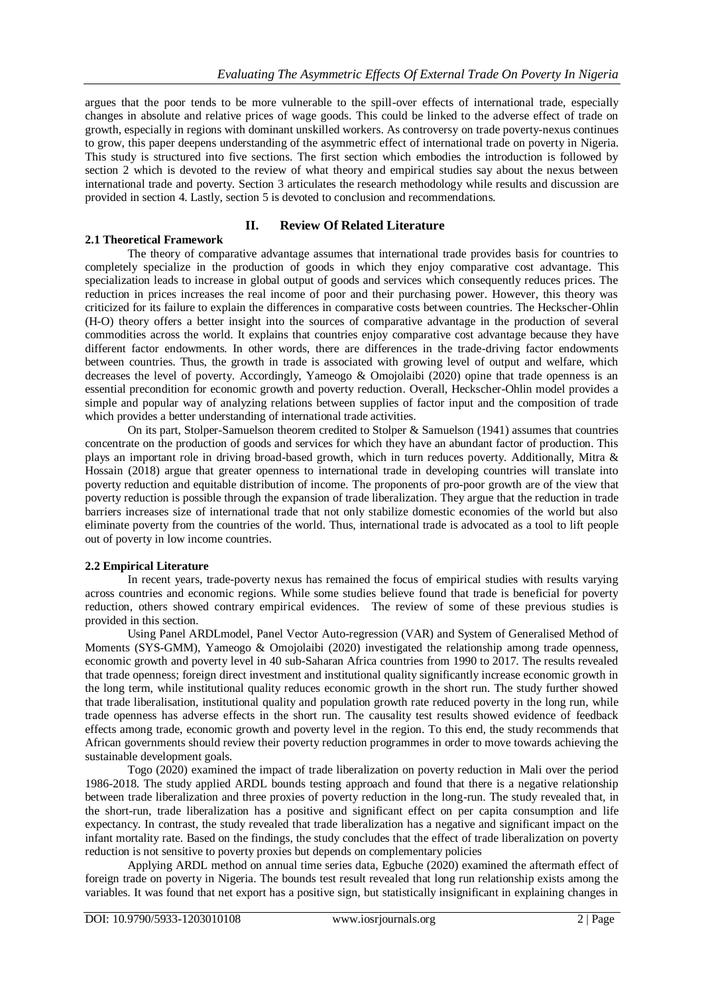argues that the poor tends to be more vulnerable to the spill-over effects of international trade, especially changes in absolute and relative prices of wage goods. This could be linked to the adverse effect of trade on growth, especially in regions with dominant unskilled workers. As controversy on trade poverty-nexus continues to grow, this paper deepens understanding of the asymmetric effect of international trade on poverty in Nigeria. This study is structured into five sections. The first section which embodies the introduction is followed by section 2 which is devoted to the review of what theory and empirical studies say about the nexus between international trade and poverty. Section 3 articulates the research methodology while results and discussion are provided in section 4. Lastly, section 5 is devoted to conclusion and recommendations.

## **II. Review Of Related Literature**

## **2.1 Theoretical Framework**

The theory of comparative advantage assumes that international trade provides basis for countries to completely specialize in the production of goods in which they enjoy comparative cost advantage. This specialization leads to increase in global output of goods and services which consequently reduces prices. The reduction in prices increases the real income of poor and their purchasing power. However, this theory was criticized for its failure to explain the differences in comparative costs between countries. The Heckscher-Ohlin (H-O) theory offers a better insight into the sources of comparative advantage in the production of several commodities across the world. It explains that countries enjoy comparative cost advantage because they have different factor endowments. In other words, there are differences in the trade-driving factor endowments between countries. Thus, the growth in trade is associated with growing level of output and welfare, which decreases the level of poverty. Accordingly, Yameogo & Omojolaibi (2020) opine that trade openness is an essential precondition for economic growth and poverty reduction. Overall, Heckscher-Ohlin model provides a simple and popular way of analyzing relations between supplies of factor input and the composition of trade which provides a better understanding of international trade activities.

On its part, Stolper-Samuelson theorem credited to Stolper & Samuelson (1941) assumes that countries concentrate on the production of goods and services for which they have an abundant factor of production. This plays an important role in driving broad-based growth, which in turn reduces poverty. Additionally, Mitra & Hossain (2018) argue that greater openness to international trade in developing countries will translate into poverty reduction and equitable distribution of income. The proponents of pro-poor growth are of the view that poverty reduction is possible through the expansion of trade liberalization. They argue that the reduction in trade barriers increases size of international trade that not only stabilize domestic economies of the world but also eliminate poverty from the countries of the world. Thus, international trade is advocated as a tool to lift people out of poverty in low income countries.

## **2.2 Empirical Literature**

In recent years, trade-poverty nexus has remained the focus of empirical studies with results varying across countries and economic regions. While some studies believe found that trade is beneficial for poverty reduction, others showed contrary empirical evidences. The review of some of these previous studies is provided in this section.

Using Panel ARDLmodel, Panel Vector Auto-regression (VAR) and System of Generalised Method of Moments (SYS-GMM), Yameogo & Omojolaibi (2020) investigated the relationship among trade openness, economic growth and poverty level in 40 sub-Saharan Africa countries from 1990 to 2017. The results revealed that trade openness; foreign direct investment and institutional quality significantly increase economic growth in the long term, while institutional quality reduces economic growth in the short run. The study further showed that trade liberalisation, institutional quality and population growth rate reduced poverty in the long run, while trade openness has adverse effects in the short run. The causality test results showed evidence of feedback effects among trade, economic growth and poverty level in the region. To this end, the study recommends that African governments should review their poverty reduction programmes in order to move towards achieving the sustainable development goals.

Togo (2020) examined the impact of trade liberalization on poverty reduction in Mali over the period 1986-2018. The study applied ARDL bounds testing approach and found that there is a negative relationship between trade liberalization and three proxies of poverty reduction in the long-run. The study revealed that, in the short-run, trade liberalization has a positive and significant effect on per capita consumption and life expectancy. In contrast, the study revealed that trade liberalization has a negative and significant impact on the infant mortality rate. Based on the findings, the study concludes that the effect of trade liberalization on poverty reduction is not sensitive to poverty proxies but depends on complementary policies

Applying ARDL method on annual time series data, Egbuche (2020) examined the aftermath effect of foreign trade on poverty in Nigeria. The bounds test result revealed that long run relationship exists among the variables. It was found that net export has a positive sign, but statistically insignificant in explaining changes in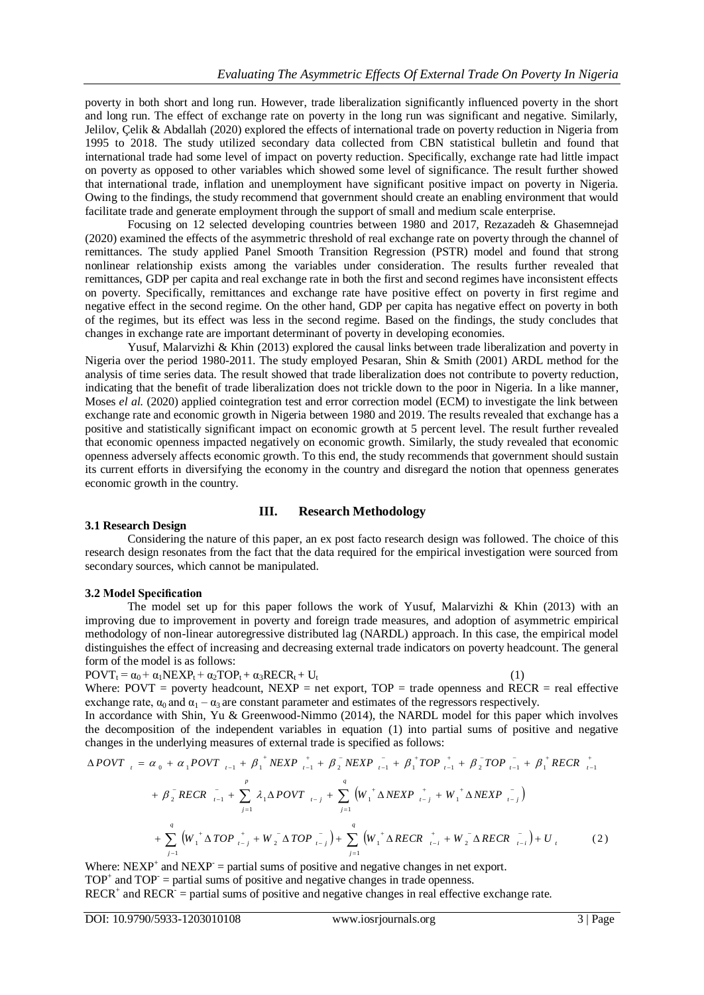poverty in both short and long run. However, trade liberalization significantly influenced poverty in the short and long run. The effect of exchange rate on poverty in the long run was significant and negative. Similarly, Jelilov, Çelik & Abdallah (2020) explored the effects of international trade on poverty reduction in Nigeria from 1995 to 2018. The study utilized secondary data collected from CBN statistical bulletin and found that international trade had some level of impact on poverty reduction. Specifically, exchange rate had little impact on poverty as opposed to other variables which showed some level of significance. The result further showed that international trade, inflation and unemployment have significant positive impact on poverty in Nigeria. Owing to the findings, the study recommend that government should create an enabling environment that would facilitate trade and generate employment through the support of small and medium scale enterprise.

Focusing on 12 selected developing countries between 1980 and 2017, Rezazadeh & Ghasemnejad (2020) examined the effects of the asymmetric threshold of real exchange rate on poverty through the channel of remittances. The study applied Panel Smooth Transition Regression (PSTR) model and found that strong nonlinear relationship exists among the variables under consideration. The results further revealed that remittances, GDP per capita and real exchange rate in both the first and second regimes have inconsistent effects on poverty. Specifically, remittances and exchange rate have positive effect on poverty in first regime and negative effect in the second regime. On the other hand, GDP per capita has negative effect on poverty in both of the regimes, but its effect was less in the second regime. Based on the findings, the study concludes that changes in exchange rate are important determinant of poverty in developing economies.

Yusuf, Malarvizhi & Khin (2013) explored the causal links between trade liberalization and poverty in Nigeria over the period 1980-2011. The study employed Pesaran, Shin & Smith (2001) ARDL method for the analysis of time series data. The result showed that trade liberalization does not contribute to poverty reduction, indicating that the benefit of trade liberalization does not trickle down to the poor in Nigeria. In a like manner, Moses *el al.* (2020) applied cointegration test and error correction model (ECM) to investigate the link between exchange rate and economic growth in Nigeria between 1980 and 2019. The results revealed that exchange has a positive and statistically significant impact on economic growth at 5 percent level. The result further revealed that economic openness impacted negatively on economic growth. Similarly, the study revealed that economic openness adversely affects economic growth. To this end, the study recommends that government should sustain its current efforts in diversifying the economy in the country and disregard the notion that openness generates economic growth in the country.

## **III. Research Methodology**

### **3.1 Research Design**

Considering the nature of this paper, an ex post facto research design was followed. The choice of this research design resonates from the fact that the data required for the empirical investigation were sourced from secondary sources, which cannot be manipulated.

### **3.2 Model Specification**

The model set up for this paper follows the work of Yusuf, Malarvizhi & Khin (2013) with an improving due to improvement in poverty and foreign trade measures, and adoption of asymmetric empirical methodology of non-linear autoregressive distributed lag (NARDL) approach. In this case, the empirical model distinguishes the effect of increasing and decreasing external trade indicators on poverty headcount. The general form of the model is as follows:

 $POVT_t = \alpha_0 + \alpha_1 NEXP_t + \alpha_2 TOP_t + \alpha_3 RECR_t + U_t$  (1)

Where: POVT = poverty headcount,  $NEXP$  = net export,  $TOP$  = trade openness and  $RECR$  = real effective exchange rate,  $\alpha_0$  and  $\alpha_1 - \alpha_3$  are constant parameter and estimates of the regressors respectively.

In accordance with Shin, Yu & Greenwood-Nimmo (2014), the NARDL model for this paper which involves the decomposition of the independent variables in equation (1) into partial sums of positive and negative changes in the underlying measures of external trade is specified as follows:

$$
\Delta POVT_{t} = \alpha_{0} + \alpha_{1}POVT_{t-1} + \beta_{1}^{+}NEXP_{t-1}^{+} + \beta_{2}^{-}NEXP_{t-1}^{-} + \beta_{1}^{+}TOP_{t-1}^{+} + \beta_{2}^{-}TOP_{t-1}^{-} + \beta_{1}^{+}RECR_{t-1}^{+}
$$
  
+  $\beta_{2}^{-}RECR_{t-1}^{-} + \sum_{j=1}^{p} \lambda_{1}\Delta POVT_{t-j} + \sum_{j=1}^{q} (W_{1}^{+}\Delta NEXP_{t-j}^{+} + W_{1}^{+}\Delta NEXP_{t-j}^{-})$   
+  $\sum_{j=1}^{q} (W_{1}^{+}\Delta TOP_{t-j}^{+} + W_{2}^{-}\Delta TOP_{t-j}^{-}) + \sum_{j=1}^{q} (W_{1}^{+}\Delta RECR_{t-j}^{+} + W_{2}^{-}\Delta RECR_{t-j}^{-}) + U_{t}$  (2)

Where:  $NEXP^+$  and  $NEXP^-$  = partial sums of positive and negative changes in net export.  $TOP<sup>+</sup>$  and  $TOP<sup>-</sup>$  partial sums of positive and negative changes in trade openness.  $RECR^+$  and  $RECR^-$  = partial sums of positive and negative changes in real effective exchange rate.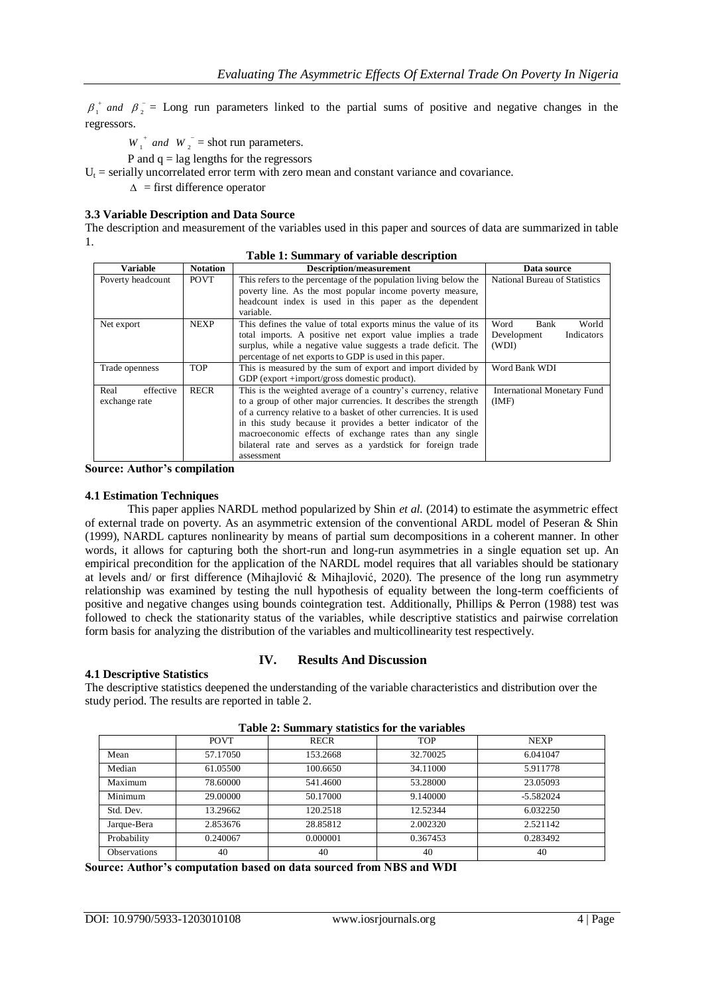$+$   $1$   $0$   $\beta_1^+$  and  $\beta_2^-$  = Long run parameters linked to the partial sums of positive and negative changes in the regressors.

 $W_1^+$  *and*  $W_2^-$  = shot run parameters.

P and  $q =$  lag lengths for the regressors

 $U_t$  = serially uncorrelated error term with zero mean and constant variance and covariance.

 $\Delta$  = first difference operator

## **3.3 Variable Description and Data Source**

The description and measurement of the variables used in this paper and sources of data are summarized in table 1.

| Variable          | <b>Notation</b> | <b>Description/measurement</b>                                     | Data source                        |
|-------------------|-----------------|--------------------------------------------------------------------|------------------------------------|
| Poverty headcount | <b>POVT</b>     | This refers to the percentage of the population living below the   | National Bureau of Statistics      |
|                   |                 | poverty line. As the most popular income poverty measure,          |                                    |
|                   |                 | headcount index is used in this paper as the dependent             |                                    |
|                   |                 | variable.                                                          |                                    |
| Net export        | <b>NEXP</b>     | This defines the value of total exports minus the value of its     | Word<br>World<br>Bank              |
|                   |                 | total imports. A positive net export value implies a trade         | Development<br>Indicators          |
|                   |                 | surplus, while a negative value suggests a trade deficit. The      | (WDI)                              |
|                   |                 | percentage of net exports to GDP is used in this paper.            |                                    |
| Trade openness    | TOP             | This is measured by the sum of export and import divided by        | Word Bank WDI                      |
|                   |                 | GDP (export +import/gross domestic product).                       |                                    |
| effective<br>Real | <b>RECR</b>     | This is the weighted average of a country's currency, relative     | <b>International Monetary Fund</b> |
| exchange rate     |                 | to a group of other major currencies. It describes the strength    | (IMF)                              |
|                   |                 | of a currency relative to a basket of other currencies. It is used |                                    |
|                   |                 | in this study because it provides a better indicator of the        |                                    |
|                   |                 | macroeconomic effects of exchange rates than any single            |                                    |
|                   |                 | bilateral rate and serves as a yardstick for foreign trade         |                                    |
|                   |                 | assessment                                                         |                                    |

**Table 1: Summary of variable description**

**Source: Author's compilation**

## **4.1 Estimation Techniques**

This paper applies NARDL method popularized by Shin *et al.* (2014) to estimate the asymmetric effect of external trade on poverty. As an asymmetric extension of the conventional ARDL model of Peseran & Shin (1999), NARDL captures nonlinearity by means of partial sum decompositions in a coherent manner. In other words, it allows for capturing both the short-run and long-run asymmetries in a single equation set up. An empirical precondition for the application of the NARDL model requires that all variables should be stationary at levels and/ or first difference (Mihajlović & Mihajlović, 2020). The presence of the long run asymmetry relationship was examined by testing the null hypothesis of equality between the long-term coefficients of positive and negative changes using bounds cointegration test. Additionally, Phillips & Perron (1988) test was followed to check the stationarity status of the variables, while descriptive statistics and pairwise correlation form basis for analyzing the distribution of the variables and multicollinearity test respectively.

## **4.1 Descriptive Statistics**

## **IV. Results And Discussion**

The descriptive statistics deepened the understanding of the variable characteristics and distribution over the study period. The results are reported in table 2.

| <b>Table 2: Summary statistics for the variables</b> |             |             |            |             |  |
|------------------------------------------------------|-------------|-------------|------------|-------------|--|
|                                                      | <b>POVT</b> | <b>RECR</b> | <b>TOP</b> | <b>NEXP</b> |  |
| Mean                                                 | 57.17050    | 153.2668    | 32.70025   | 6.041047    |  |
| Median                                               | 61.05500    | 100.6650    | 34.11000   | 5.911778    |  |
| Maximum                                              | 78.60000    | 541.4600    | 53.28000   | 23.05093    |  |
| Minimum                                              | 29,00000    | 50.17000    | 9.140000   | $-5.582024$ |  |
| Std. Dev.                                            | 13.29662    | 120.2518    | 12.52344   | 6.032250    |  |
| Jarque-Bera                                          | 2.853676    | 28.85812    | 2.002320   | 2.521142    |  |
| Probability                                          | 0.240067    | 0.000001    | 0.367453   | 0.283492    |  |
| <b>Observations</b>                                  | 40          | 40          | 40         | 40          |  |

**Table 2: Summary statistics for the variables**

**Source: Author's computation based on data sourced from NBS and WDI**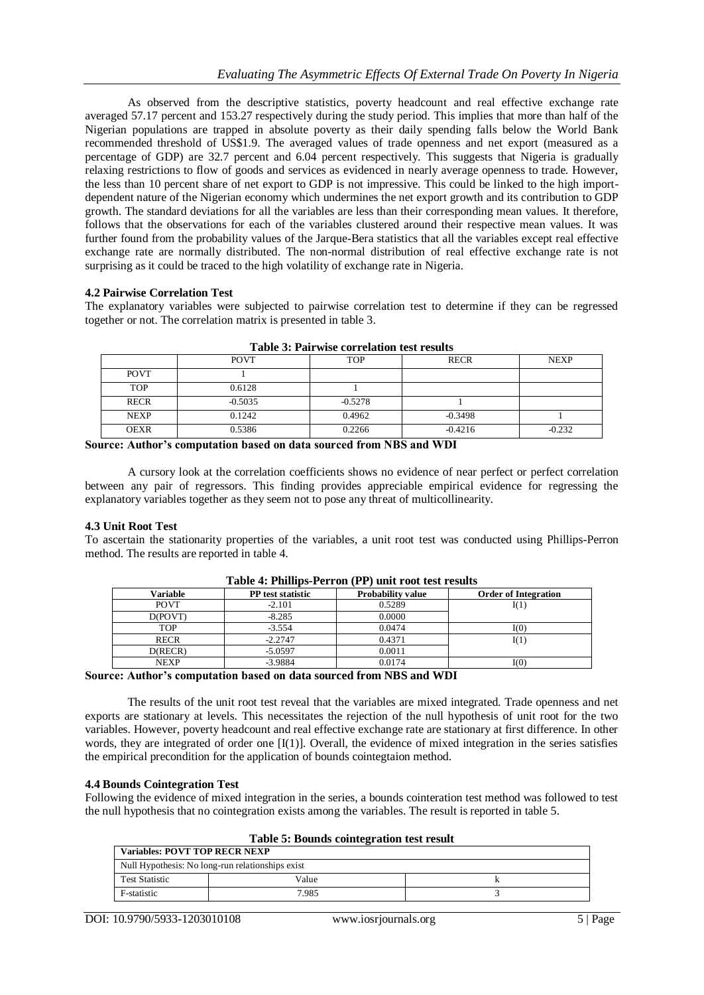As observed from the descriptive statistics, poverty headcount and real effective exchange rate averaged 57.17 percent and 153.27 respectively during the study period. This implies that more than half of the Nigerian populations are trapped in absolute poverty as their daily spending falls below the World Bank recommended threshold of US\$1.9. The averaged values of trade openness and net export (measured as a percentage of GDP) are 32.7 percent and 6.04 percent respectively. This suggests that Nigeria is gradually relaxing restrictions to flow of goods and services as evidenced in nearly average openness to trade. However, the less than 10 percent share of net export to GDP is not impressive. This could be linked to the high importdependent nature of the Nigerian economy which undermines the net export growth and its contribution to GDP growth. The standard deviations for all the variables are less than their corresponding mean values. It therefore, follows that the observations for each of the variables clustered around their respective mean values. It was further found from the probability values of the Jarque-Bera statistics that all the variables except real effective exchange rate are normally distributed. The non-normal distribution of real effective exchange rate is not surprising as it could be traced to the high volatility of exchange rate in Nigeria.

## **4.2 Pairwise Correlation Test**

The explanatory variables were subjected to pairwise correlation test to determine if they can be regressed together or not. The correlation matrix is presented in table 3.

| Table 9: I all west correlation test results |             |            |             |             |  |  |
|----------------------------------------------|-------------|------------|-------------|-------------|--|--|
|                                              | <b>POVT</b> | <b>TOP</b> | <b>RECR</b> | <b>NEXP</b> |  |  |
| <b>POVT</b>                                  |             |            |             |             |  |  |
| <b>TOP</b>                                   | 0.6128      |            |             |             |  |  |
| <b>RECR</b>                                  | $-0.5035$   | $-0.5278$  |             |             |  |  |
| <b>NEXP</b>                                  | 0.1242      | 0.4962     | $-0.3498$   |             |  |  |
| <b>OEXR</b>                                  | 0.5386      | 0.2266     | $-0.4216$   | $-0.232$    |  |  |

A cursory look at the correlation coefficients shows no evidence of near perfect or perfect correlation between any pair of regressors. This finding provides appreciable empirical evidence for regressing the explanatory variables together as they seem not to pose any threat of multicollinearity.

## **4.3 Unit Root Test**

To ascertain the stationarity properties of the variables, a unit root test was conducted using Phillips-Perron method. The results are reported in table 4.

| Variable    | <b>PP</b> test statistic | <b>Probability value</b> | <b>Order of Integration</b> |  |  |
|-------------|--------------------------|--------------------------|-----------------------------|--|--|
| <b>POVT</b> | $-2.101$                 | 0.5289                   | I(1)                        |  |  |
| D(POVT)     | $-8.285$                 | 0.0000                   |                             |  |  |
| TOP         | $-3.554$                 | 0.0474                   | I(0)                        |  |  |
| <b>RECR</b> | $-2.2747$                | 0.4371                   | I(1)                        |  |  |
| D(RECR)     | $-5.0597$                | 0.0011                   |                             |  |  |
| <b>NEXP</b> | $-3.9884$                | 0.0174                   | I(0)                        |  |  |

### **Table 4: Phillips-Perron (PP) unit root test results**

**Source: Author's computation based on data sourced from NBS and WDI**

The results of the unit root test reveal that the variables are mixed integrated. Trade openness and net exports are stationary at levels. This necessitates the rejection of the null hypothesis of unit root for the two variables. However, poverty headcount and real effective exchange rate are stationary at first difference. In other words, they are integrated of order one [I(1)]. Overall, the evidence of mixed integration in the series satisfies the empirical precondition for the application of bounds cointegtaion method.

## **4.4 Bounds Cointegration Test**

Following the evidence of mixed integration in the series, a bounds cointeration test method was followed to test the null hypothesis that no cointegration exists among the variables. The result is reported in table 5.

| Table 5: Dounds connegration test result         |       |  |  |  |
|--------------------------------------------------|-------|--|--|--|
| <b>Variables: POVT TOP RECR NEXP</b>             |       |  |  |  |
| Null Hypothesis: No long-run relationships exist |       |  |  |  |
| <b>Test Statistic</b>                            | Value |  |  |  |
| F-statistic                                      | 7.985 |  |  |  |
|                                                  |       |  |  |  |

**Table 5: Bounds cointegration test result**

**Source: Author's computation based on data sourced from NBS and WDI**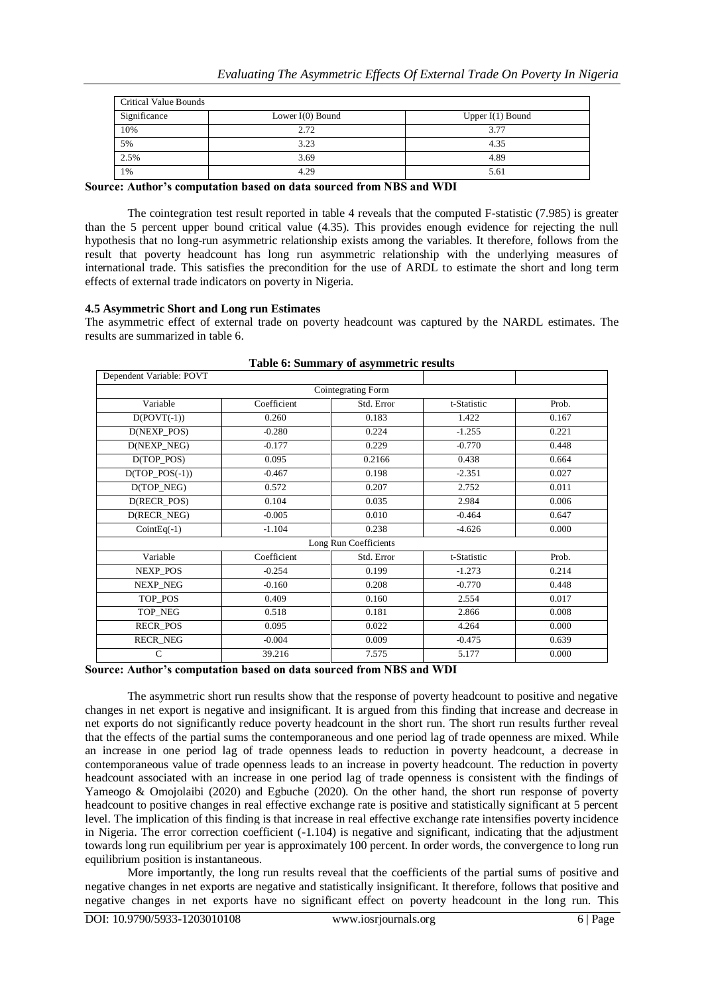| <b>Critical Value Bounds</b> |                    |                    |  |  |  |
|------------------------------|--------------------|--------------------|--|--|--|
| Significance                 | Lower $I(0)$ Bound | Upper $I(1)$ Bound |  |  |  |
| 10%                          | 2.72               | 3.77               |  |  |  |
| 5%                           | 3.23               | 4.35               |  |  |  |
| 2.5%                         | 3.69               | 4.89               |  |  |  |
| 1%                           | 4.29               | 5.61               |  |  |  |

**Source: Author's computation based on data sourced from NBS and WDI**

The cointegration test result reported in table 4 reveals that the computed F-statistic (7.985) is greater than the 5 percent upper bound critical value (4.35). This provides enough evidence for rejecting the null hypothesis that no long-run asymmetric relationship exists among the variables. It therefore, follows from the result that poverty headcount has long run asymmetric relationship with the underlying measures of international trade. This satisfies the precondition for the use of ARDL to estimate the short and long term effects of external trade indicators on poverty in Nigeria.

### **4.5 Asymmetric Short and Long run Estimates**

The asymmetric effect of external trade on poverty headcount was captured by the NARDL estimates. The results are summarized in table 6.

| Dependent Variable: POVT |             |            |             |       |  |  |
|--------------------------|-------------|------------|-------------|-------|--|--|
| Cointegrating Form       |             |            |             |       |  |  |
| Variable                 | Coefficient | Std. Error | t-Statistic | Prob. |  |  |
| $D(POVT(-1))$            | 0.260       | 0.183      | 1.422       | 0.167 |  |  |
| D(NEXP_POS)              | $-0.280$    | 0.224      | $-1.255$    | 0.221 |  |  |
| D(NEXP_NEG)              | $-0.177$    | 0.229      | $-0.770$    | 0.448 |  |  |
| $D(TOP_POS)$             | 0.095       | 0.2166     | 0.438       | 0.664 |  |  |
| $D(TOP_POS(-1))$         | $-0.467$    | 0.198      | $-2.351$    | 0.027 |  |  |
| D(TOP_NEG)               | 0.572       | 0.207      | 2.752       | 0.011 |  |  |
| D(RECR POS)              | 0.104       | 0.035      | 2.984       | 0.006 |  |  |
| D(RECR NEG)              | $-0.005$    | 0.010      | $-0.464$    | 0.647 |  |  |
| $CointEq(-1)$            | $-1.104$    | 0.238      | $-4.626$    | 0.000 |  |  |
| Long Run Coefficients    |             |            |             |       |  |  |
| Variable                 | Coefficient | Std. Error | t-Statistic | Prob. |  |  |
| NEXP_POS                 | $-0.254$    | 0.199      | $-1.273$    | 0.214 |  |  |
| NEXP_NEG                 | $-0.160$    | 0.208      | $-0.770$    | 0.448 |  |  |
| TOP_POS                  | 0.409       | 0.160      | 2.554       | 0.017 |  |  |
| TOP_NEG                  | 0.518       | 0.181      | 2.866       | 0.008 |  |  |
| <b>RECR_POS</b>          | 0.095       | 0.022      | 4.264       | 0.000 |  |  |
| RECR_NEG                 | $-0.004$    | 0.009      | $-0.475$    | 0.639 |  |  |
| C                        | 39.216      | 7.575      | 5.177       | 0.000 |  |  |

|  |  | Table 6: Summary of asymmetric results |  |
|--|--|----------------------------------------|--|
|  |  |                                        |  |

## **Source: Author's computation based on data sourced from NBS and WDI**

The asymmetric short run results show that the response of poverty headcount to positive and negative changes in net export is negative and insignificant. It is argued from this finding that increase and decrease in net exports do not significantly reduce poverty headcount in the short run. The short run results further reveal that the effects of the partial sums the contemporaneous and one period lag of trade openness are mixed. While an increase in one period lag of trade openness leads to reduction in poverty headcount, a decrease in contemporaneous value of trade openness leads to an increase in poverty headcount. The reduction in poverty headcount associated with an increase in one period lag of trade openness is consistent with the findings of Yameogo & Omojolaibi (2020) and Egbuche (2020). On the other hand, the short run response of poverty headcount to positive changes in real effective exchange rate is positive and statistically significant at 5 percent level. The implication of this finding is that increase in real effective exchange rate intensifies poverty incidence in Nigeria. The error correction coefficient (-1.104) is negative and significant, indicating that the adjustment towards long run equilibrium per year is approximately 100 percent. In order words, the convergence to long run equilibrium position is instantaneous.

More importantly, the long run results reveal that the coefficients of the partial sums of positive and negative changes in net exports are negative and statistically insignificant. It therefore, follows that positive and negative changes in net exports have no significant effect on poverty headcount in the long run. This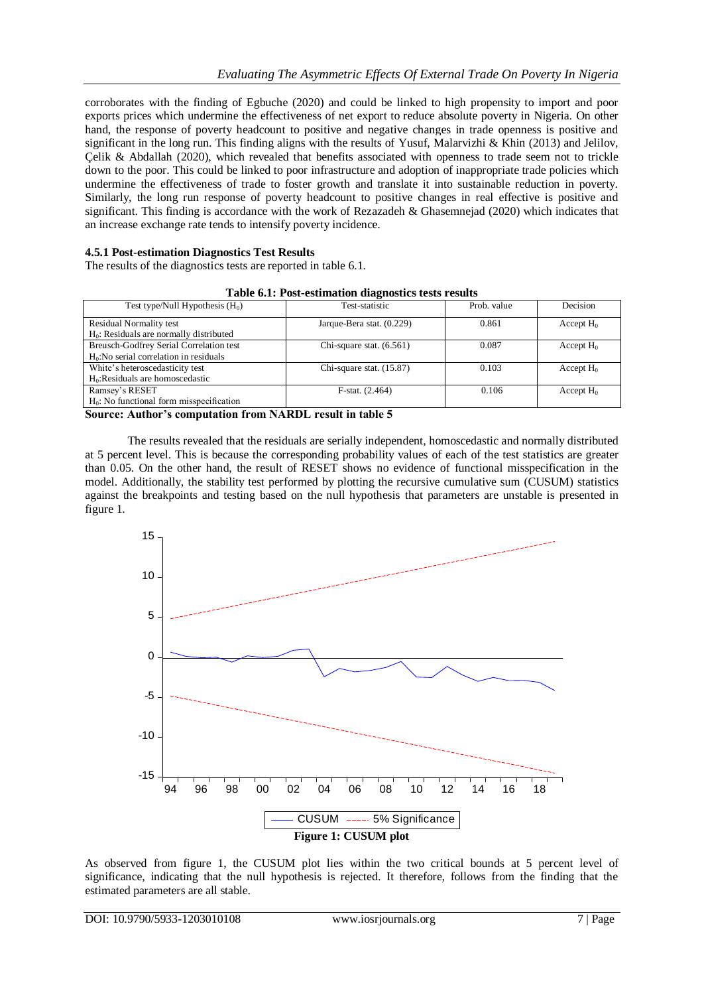corroborates with the finding of Egbuche (2020) and could be linked to high propensity to import and poor exports prices which undermine the effectiveness of net export to reduce absolute poverty in Nigeria. On other hand, the response of poverty headcount to positive and negative changes in trade openness is positive and significant in the long run. This finding aligns with the results of Yusuf, Malarvizhi & Khin (2013) and Jelilov, Çelik & Abdallah (2020), which revealed that benefits associated with openness to trade seem not to trickle down to the poor. This could be linked to poor infrastructure and adoption of inappropriate trade policies which undermine the effectiveness of trade to foster growth and translate it into sustainable reduction in poverty. Similarly, the long run response of poverty headcount to positive changes in real effective is positive and significant. This finding is accordance with the work of Rezazadeh & Ghasemnejad (2020) which indicates that an increase exchange rate tends to intensify poverty incidence.

## **4.5.1 Post-estimation Diagnostics Test Results**

The results of the diagnostics tests are reported in table 6.1.

| Test type/Null Hypothesis $(H_0)$           | Test-statistic             | Prob. value | Decision     |
|---------------------------------------------|----------------------------|-------------|--------------|
| Residual Normality test                     | Jarque-Bera stat. (0.229)  | 0.861       | Accept $H_0$ |
| $H0$ : Residuals are normally distributed   |                            |             |              |
| Breusch-Godfrey Serial Correlation test     | Chi-square stat. $(6.561)$ | 0.087       | Accept $H_0$ |
| $H0:$ No serial correlation in residuals    |                            |             |              |
| White's heteroscedasticity test             | Chi-square stat. $(15.87)$ | 0.103       | Accept $H_0$ |
| $H0:Residuals$ are homoscedastic            |                            |             |              |
| Ramsey's RESET                              | $F-stat. (2.464)$          | 0.106       | Accept $H_0$ |
| $H_0$ : No functional form misspecification |                            |             |              |

**Source: Author's computation from NARDL result in table 5**

The results revealed that the residuals are serially independent, homoscedastic and normally distributed at 5 percent level. This is because the corresponding probability values of each of the test statistics are greater than 0.05. On the other hand, the result of RESET shows no evidence of functional misspecification in the model. Additionally, the stability test performed by plotting the recursive cumulative sum (CUSUM) statistics against the breakpoints and testing based on the null hypothesis that parameters are unstable is presented in figure 1.



As observed from figure 1, the CUSUM plot lies within the two critical bounds at 5 percent level of significance, indicating that the null hypothesis is rejected. It therefore, follows from the finding that the estimated parameters are all stable.